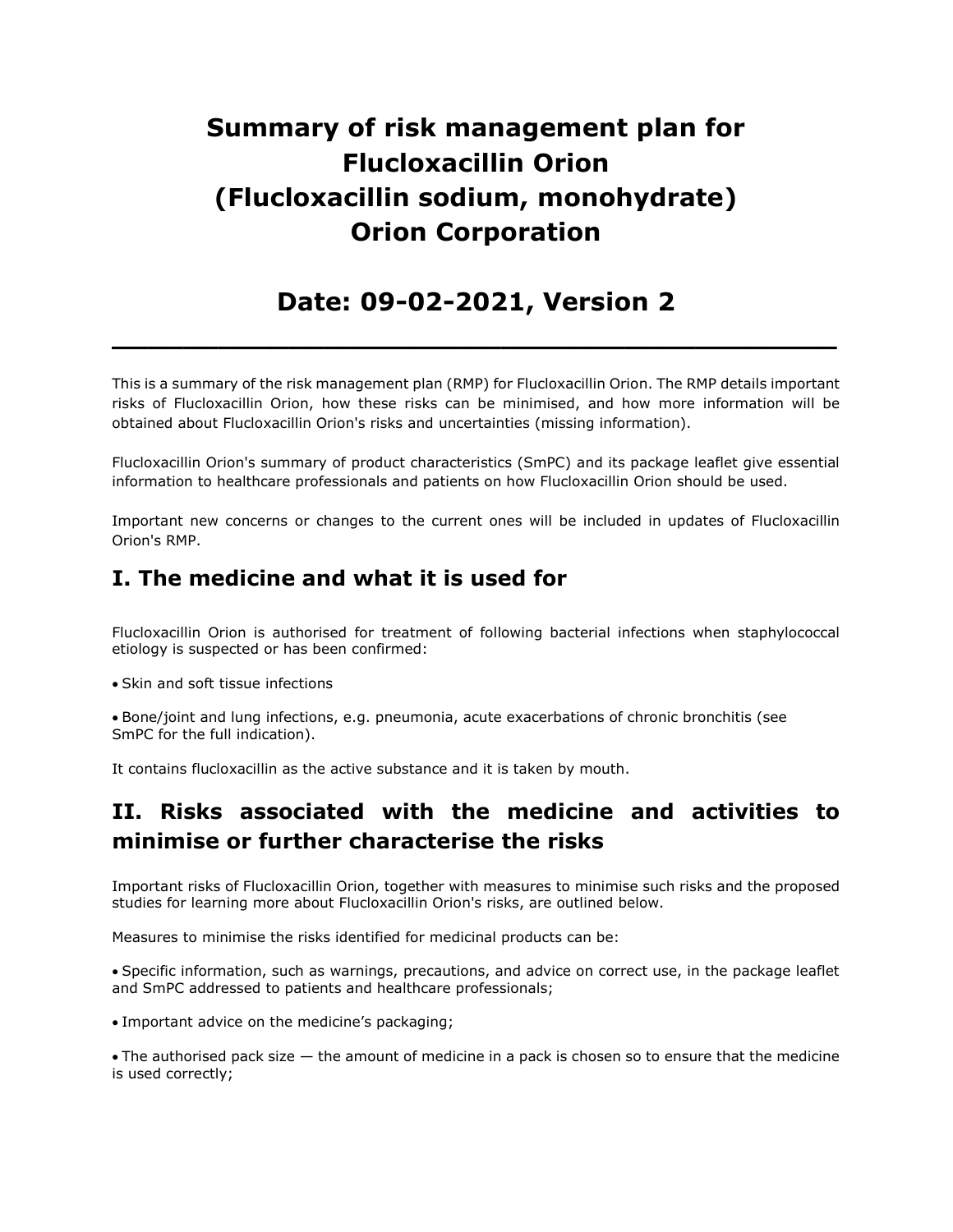# Summary of risk management plan for Flucloxacillin Orion (Flucloxacillin sodium, monohydrate) Orion Corporation

## Date: 09-02-2021, Version 2

 $\overline{\phantom{a}}$  , and the contract of the contract of the contract of the contract of the contract of the contract of the contract of the contract of the contract of the contract of the contract of the contract of the contrac

This is a summary of the risk management plan (RMP) for Flucloxacillin Orion. The RMP details important risks of Flucloxacillin Orion, how these risks can be minimised, and how more information will be obtained about Flucloxacillin Orion's risks and uncertainties (missing information).

Flucloxacillin Orion's summary of product characteristics (SmPC) and its package leaflet give essential information to healthcare professionals and patients on how Flucloxacillin Orion should be used.

Important new concerns or changes to the current ones will be included in updates of Flucloxacillin Orion's RMP.

### I. The medicine and what it is used for

Flucloxacillin Orion is authorised for treatment of following bacterial infections when staphylococcal etiology is suspected or has been confirmed:

• Skin and soft tissue infections

Bone/joint and lung infections, e.g. pneumonia, acute exacerbations of chronic bronchitis (see SmPC for the full indication).

It contains flucloxacillin as the active substance and it is taken by mouth.

### II. Risks associated with the medicine and activities to minimise or further characterise the risks

Important risks of Flucloxacillin Orion, together with measures to minimise such risks and the proposed studies for learning more about Flucloxacillin Orion's risks, are outlined below.

Measures to minimise the risks identified for medicinal products can be:

Specific information, such as warnings, precautions, and advice on correct use, in the package leaflet and SmPC addressed to patients and healthcare professionals;

Important advice on the medicine's packaging;

The authorised pack size — the amount of medicine in a pack is chosen so to ensure that the medicine is used correctly;